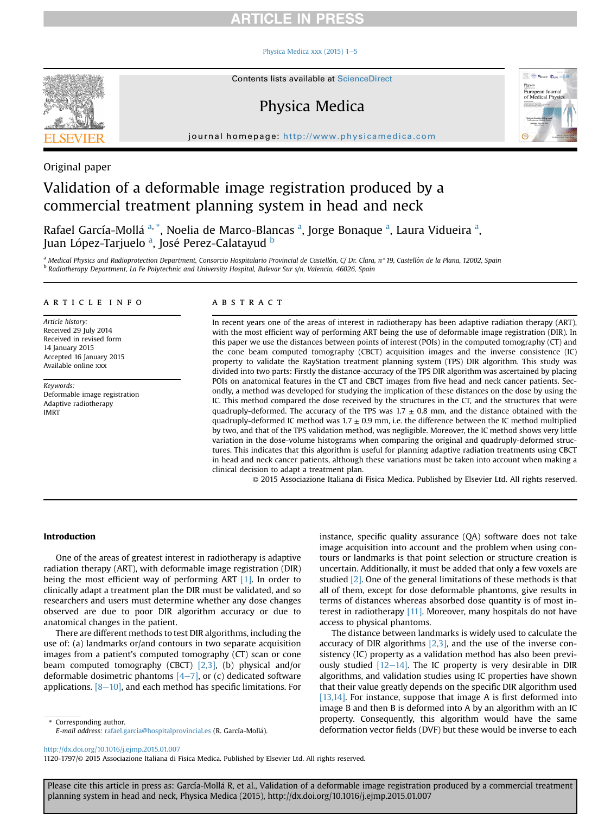# **RTICLE IN PRESS**

#### Physica Medica xxx  $(2015)$  $(2015)$  $(2015)$  1-5



Contents lists available at [ScienceDirect](www.sciencedirect.com/science/journal/11201797)

# Physica Medica



journal homepage: <http://www.physicamedica.com>

### Original paper

# Validation of a deformable image registration produced by a commercial treatment planning system in head and neck

Rafael García-Mollá <sup>a, \*</sup>, Noelia de Marco-Blancas <sup>a</sup>, Jorge Bonaque <sup>a</sup>, Laura Vidueira <sup>a</sup>, Juan López-Tarjuelo <sup>a</sup>, José Perez-Calatayud <sup>b</sup>

<sup>a</sup> Medical Physics and Radioprotection Department, Consorcio Hospitalario Provincial de Castellón, C/ Dr. Clara, nº 19, Castellón de la Plana, 12002, Spain <sup>b</sup> Radiotherapy Department, La Fe Polytechnic and University Hospital, Bulevar Sur s/n, Valencia, 46026, Spain

#### article info

Article history: Received 29 July 2014 Received in revised form 14 January 2015 Accepted 16 January 2015 Available online xxx

Keywords: Deformable image registration Adaptive radiotherapy IMRT

#### **ABSTRACT**

In recent years one of the areas of interest in radiotherapy has been adaptive radiation therapy (ART), with the most efficient way of performing ART being the use of deformable image registration (DIR). In this paper we use the distances between points of interest (POIs) in the computed tomography (CT) and the cone beam computed tomography (CBCT) acquisition images and the inverse consistence (IC) property to validate the RayStation treatment planning system (TPS) DIR algorithm. This study was divided into two parts: Firstly the distance-accuracy of the TPS DIR algorithm was ascertained by placing POIs on anatomical features in the CT and CBCT images from five head and neck cancer patients. Secondly, a method was developed for studying the implication of these distances on the dose by using the IC. This method compared the dose received by the structures in the CT, and the structures that were quadruply-deformed. The accuracy of the TPS was  $1.7 \pm 0.8$  mm, and the distance obtained with the quadruply-deformed IC method was  $1.7 \pm 0.9$  mm, i.e. the difference between the IC method multiplied by two, and that of the TPS validation method, was negligible. Moreover, the IC method shows very little variation in the dose-volume histograms when comparing the original and quadruply-deformed structures. This indicates that this algorithm is useful for planning adaptive radiation treatments using CBCT in head and neck cancer patients, although these variations must be taken into account when making a clinical decision to adapt a treatment plan.

© 2015 Associazione Italiana di Fisica Medica. Published by Elsevier Ltd. All rights reserved.

#### Introduction

One of the areas of greatest interest in radiotherapy is adaptive radiation therapy (ART), with deformable image registration (DIR) being the most efficient way of performing ART [\[1\]](#page-4-0). In order to clinically adapt a treatment plan the DIR must be validated, and so researchers and users must determine whether any dose changes observed are due to poor DIR algorithm accuracy or due to anatomical changes in the patient.

There are different methods to test DIR algorithms, including the use of: (a) landmarks or/and contours in two separate acquisition images from a patient's computed tomography (CT) scan or cone beam computed tomography (CBCT) [\[2,3\]](#page-4-0), (b) physical and/or deformable dosimetric phantoms  $[4-7]$  $[4-7]$  $[4-7]$ , or (c) dedicated software applications.  $[8-10]$  $[8-10]$  $[8-10]$ , and each method has specific limitations. For

Corresponding author.

E-mail address: [rafael.garcia@hospitalprovincial.es](mailto:rafael.garcia@hospitalprovincial.es) (R. García-Molla).

instance, specific quality assurance (QA) software does not take image acquisition into account and the problem when using contours or landmarks is that point selection or structure creation is uncertain. Additionally, it must be added that only a few voxels are studied [\[2\]](#page-4-0). One of the general limitations of these methods is that all of them, except for dose deformable phantoms, give results in terms of distances whereas absorbed dose quantity is of most interest in radiotherapy [\[11\]](#page-4-0). Moreover, many hospitals do not have access to physical phantoms.

The distance between landmarks is widely used to calculate the accuracy of DIR algorithms  $[2,3]$ , and the use of the inverse consistency (IC) property as a validation method has also been previously studied  $[12-14]$  $[12-14]$  $[12-14]$ . The IC property is very desirable in DIR algorithms, and validation studies using IC properties have shown that their value greatly depends on the specific DIR algorithm used [\[13,14\].](#page-4-0) For instance, suppose that image A is first deformed into image B and then B is deformed into A by an algorithm with an IC property. Consequently, this algorithm would have the same deformation vector fields (DVF) but these would be inverse to each

<http://dx.doi.org/10.1016/j.ejmp.2015.01.007>

1120-1797/© 2015 Associazione Italiana di Fisica Medica. Published by Elsevier Ltd. All rights reserved.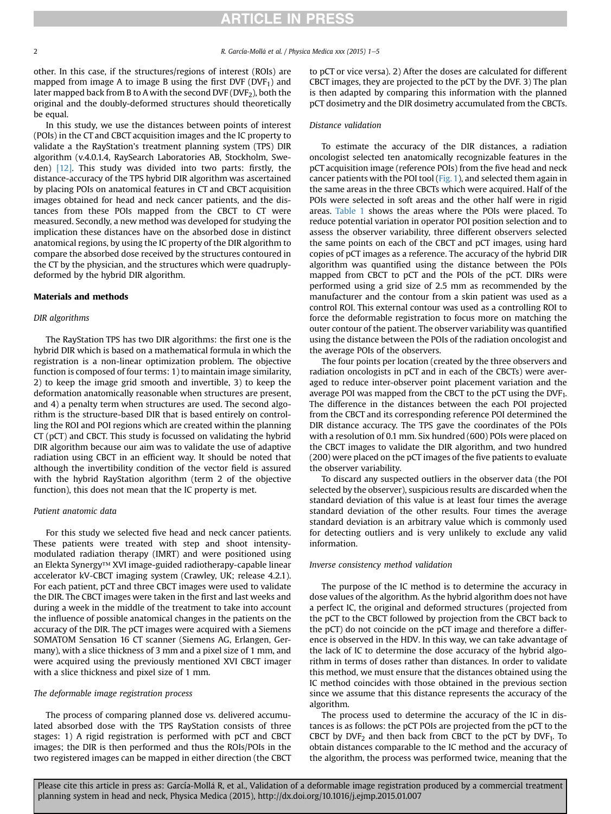other. In this case, if the structures/regions of interest (ROIs) are mapped from image A to image B using the first DVF ( $DVF_1$ ) and later mapped back from B to A with the second DVF (DVF2), both the original and the doubly-deformed structures should theoretically be equal.

In this study, we use the distances between points of interest (POIs) in the CT and CBCT acquisition images and the IC property to validate a the RayStation's treatment planning system (TPS) DIR algorithm (v.4.0.1.4, RaySearch Laboratories AB, Stockholm, Sweden) [\[12\]](#page-4-0). This study was divided into two parts: firstly, the distance-accuracy of the TPS hybrid DIR algorithm was ascertained by placing POIs on anatomical features in CT and CBCT acquisition images obtained for head and neck cancer patients, and the distances from these POIs mapped from the CBCT to CT were measured. Secondly, a new method was developed for studying the implication these distances have on the absorbed dose in distinct anatomical regions, by using the IC property of the DIR algorithm to compare the absorbed dose received by the structures contoured in the CT by the physician, and the structures which were quadruplydeformed by the hybrid DIR algorithm.

#### Materials and methods

#### DIR algorithms

The RayStation TPS has two DIR algorithms: the first one is the hybrid DIR which is based on a mathematical formula in which the registration is a non-linear optimization problem. The objective function is composed of four terms: 1) to maintain image similarity, 2) to keep the image grid smooth and invertible, 3) to keep the deformation anatomically reasonable when structures are present, and 4) a penalty term when structures are used. The second algorithm is the structure-based DIR that is based entirely on controlling the ROI and POI regions which are created within the planning CT (pCT) and CBCT. This study is focussed on validating the hybrid DIR algorithm because our aim was to validate the use of adaptive radiation using CBCT in an efficient way. It should be noted that although the invertibility condition of the vector field is assured with the hybrid RayStation algorithm (term 2 of the objective function), this does not mean that the IC property is met.

#### Patient anatomic data

For this study we selected five head and neck cancer patients. These patients were treated with step and shoot intensitymodulated radiation therapy (IMRT) and were positioned using an Elekta Synergy™ XVI image-guided radiotherapy-capable linear accelerator kV-CBCT imaging system (Crawley, UK; release 4.2.1). For each patient, pCT and three CBCT images were used to validate the DIR. The CBCT images were taken in the first and last weeks and during a week in the middle of the treatment to take into account the influence of possible anatomical changes in the patients on the accuracy of the DIR. The pCT images were acquired with a Siemens SOMATOM Sensation 16 CT scanner (Siemens AG, Erlangen, Germany), with a slice thickness of 3 mm and a pixel size of 1 mm, and were acquired using the previously mentioned XVI CBCT imager with a slice thickness and pixel size of 1 mm.

#### The deformable image registration process

The process of comparing planned dose vs. delivered accumulated absorbed dose with the TPS RayStation consists of three stages: 1) A rigid registration is performed with pCT and CBCT images; the DIR is then performed and thus the ROIs/POIs in the two registered images can be mapped in either direction (the CBCT to pCT or vice versa). 2) After the doses are calculated for different CBCT images, they are projected to the pCT by the DVF. 3) The plan is then adapted by comparing this information with the planned pCT dosimetry and the DIR dosimetry accumulated from the CBCTs.

### Distance validation

To estimate the accuracy of the DIR distances, a radiation oncologist selected ten anatomically recognizable features in the pCT acquisition image (reference POIs) from the five head and neck cancer patients with the POI tool ([Fig. 1\)](#page-2-0), and selected them again in the same areas in the three CBCTs which were acquired. Half of the POIs were selected in soft areas and the other half were in rigid areas. [Table 1](#page-2-0) shows the areas where the POIs were placed. To reduce potential variation in operator POI position selection and to assess the observer variability, three different observers selected the same points on each of the CBCT and pCT images, using hard copies of pCT images as a reference. The accuracy of the hybrid DIR algorithm was quantified using the distance between the POIs mapped from CBCT to pCT and the POIs of the pCT. DIRs were performed using a grid size of 2.5 mm as recommended by the manufacturer and the contour from a skin patient was used as a control ROI. This external contour was used as a controlling ROI to force the deformable registration to focus more on matching the outer contour of the patient. The observer variability was quantified using the distance between the POIs of the radiation oncologist and the average POIs of the observers.

The four points per location (created by the three observers and radiation oncologists in pCT and in each of the CBCTs) were averaged to reduce inter-observer point placement variation and the average POI was mapped from the CBCT to the pCT using the DVF<sub>1</sub>. The difference in the distances between the each POI projected from the CBCT and its corresponding reference POI determined the DIR distance accuracy. The TPS gave the coordinates of the POIs with a resolution of 0.1 mm. Six hundred (600) POIs were placed on the CBCT images to validate the DIR algorithm, and two hundred (200) were placed on the pCT images of the five patients to evaluate the observer variability.

To discard any suspected outliers in the observer data (the POI selected by the observer), suspicious results are discarded when the standard deviation of this value is at least four times the average standard deviation of the other results. Four times the average standard deviation is an arbitrary value which is commonly used for detecting outliers and is very unlikely to exclude any valid information.

### Inverse consistency method validation

The purpose of the IC method is to determine the accuracy in dose values of the algorithm. As the hybrid algorithm does not have a perfect IC, the original and deformed structures (projected from the pCT to the CBCT followed by projection from the CBCT back to the pCT) do not coincide on the pCT image and therefore a difference is observed in the HDV. In this way, we can take advantage of the lack of IC to determine the dose accuracy of the hybrid algorithm in terms of doses rather than distances. In order to validate this method, we must ensure that the distances obtained using the IC method coincides with those obtained in the previous section since we assume that this distance represents the accuracy of the algorithm.

The process used to determine the accuracy of the IC in distances is as follows: the pCT POIs are projected from the pCT to the CBCT by  $DVF_2$  and then back from CBCT to the pCT by  $DVF_1$ . To obtain distances comparable to the IC method and the accuracy of the algorithm, the process was performed twice, meaning that the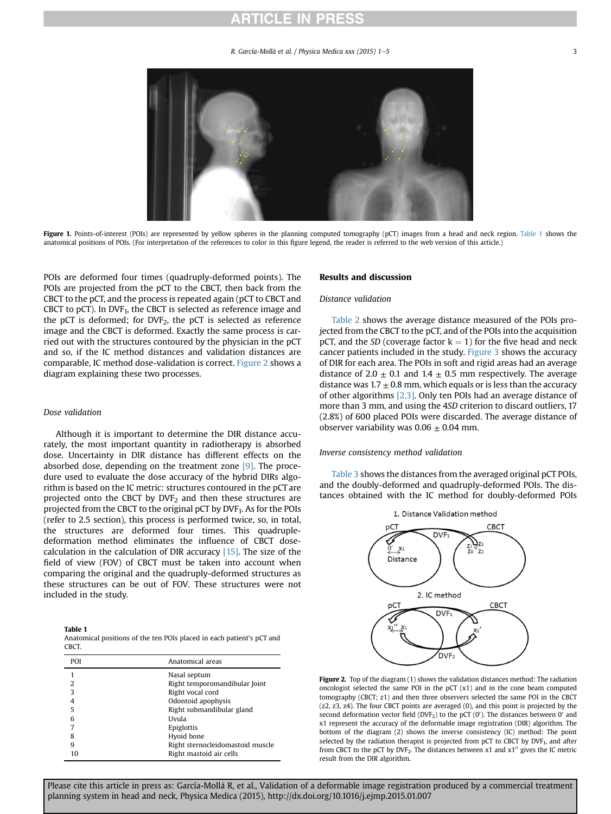## **ARTICLE IN PRESS**

R. García-Mollá et al. / Physica Medica xxx (2015) 1–5 3

<span id="page-2-0"></span>

Figure 1. Points-of-interest (POIs) are represented by yellow spheres in the planning computed tomography (pCT) images from a head and neck region. Table 1 shows the anatomical positions of POIs. (For interpretation of the references to color in this figure legend, the reader is referred to the web version of this article.)

POIs are deformed four times (quadruply-deformed points). The POIs are projected from the pCT to the CBCT, then back from the CBCT to the pCT, and the process is repeated again (pCT to CBCT and CBCT to  $pCT$ ). In DVF<sub>1</sub>, the CBCT is selected as reference image and the pCT is deformed; for  $DVF<sub>2</sub>$ , the pCT is selected as reference image and the CBCT is deformed. Exactly the same process is carried out with the structures contoured by the physician in the pCT and so, if the IC method distances and validation distances are comparable, IC method dose-validation is correct. Figure 2 shows a diagram explaining these two processes.

#### Dose validation

Although it is important to determine the DIR distance accurately, the most important quantity in radiotherapy is absorbed dose. Uncertainty in DIR distance has different effects on the absorbed dose, depending on the treatment zone  $[9]$ . The procedure used to evaluate the dose accuracy of the hybrid DIRs algorithm is based on the IC metric: structures contoured in the pCT are projected onto the CBCT by DVF<sub>2</sub> and then these structures are projected from the CBCT to the original pCT by  $DVF_1$ . As for the POIs (refer to 2.5 section), this process is performed twice, so, in total, the structures are deformed four times. This quadrupledeformation method eliminates the influence of CBCT dosecalculation in the calculation of DIR accuracy [\[15\]](#page-4-0). The size of the field of view (FOV) of CBCT must be taken into account when comparing the original and the quadruply-deformed structures as these structures can be out of FOV. These structures were not included in the study.

Table 1 Anatomical positions of the ten POIs placed in each patient's pCT and CBCT.

| POI | Anatomical areas                 |
|-----|----------------------------------|
|     | Nasal septum                     |
| 2   | Right temporomandibular Joint    |
| 3   | Right vocal cord                 |
|     | Odontoid apophysis               |
| 5   | Right submandibular gland        |
| 6   | Uvula                            |
|     | Epiglottis                       |
| 8   | Hyoid bone                       |
| 9   | Right sternocleidomastoid muscle |
| 10  | Right mastoid air cells          |
|     |                                  |

#### Results and discussion

#### Distance validation

[Table 2](#page-3-0) shows the average distance measured of the POIs projected from the CBCT to the pCT, and of the POIs into the acquisition pCT, and the SD (coverage factor  $k = 1$ ) for the five head and neck cancer patients included in the study. [Figure 3](#page-3-0) shows the accuracy of DIR for each area. The POIs in soft and rigid areas had an average distance of 2.0  $\pm$  0.1 and 1.4  $\pm$  0.5 mm respectively. The average distance was  $1.7 \pm 0.8$  mm, which equals or is less than the accuracy of other algorithms [\[2,3\]](#page-4-0). Only ten POIs had an average distance of more than 3 mm, and using the 4SD criterion to discard outliers, 17 (2.8%) of 600 placed POIs were discarded. The average distance of observer variability was  $0.06 \pm 0.04$  mm.

Inverse consistency method validation

[Table 3](#page-3-0) shows the distances from the averaged original pCT POIs, and the doubly-deformed and quadruply-deformed POIs. The distances obtained with the IC method for doubly-deformed POIs



Figure 2. Top of the diagram (1) shows the validation distances method: The radiation oncologist selected the same POI in the pCT (x1) and in the cone beam computed tomography (CBCT; z1) and then three observers selected the same POI in the CBCT (z2, z3, z4). The four CBCT points are averaged (0), and this point is projected by the second deformation vector field (DVF<sub>2</sub>) to the pCT (0'). The distances between 0' and x1 represent the accuracy of the deformable image registration (DIR) algorithm. The bottom of the diagram (2) shows the inverse consistency (IC) method: The point selected by the radiation therapist is projected from pCT to CBCT by  $DVF_1$ , and after from CBCT to the pCT by  $DVF_2$ . The distances between x1 and x1<sup>n</sup> gives the IC metric result from the DIR algorithm.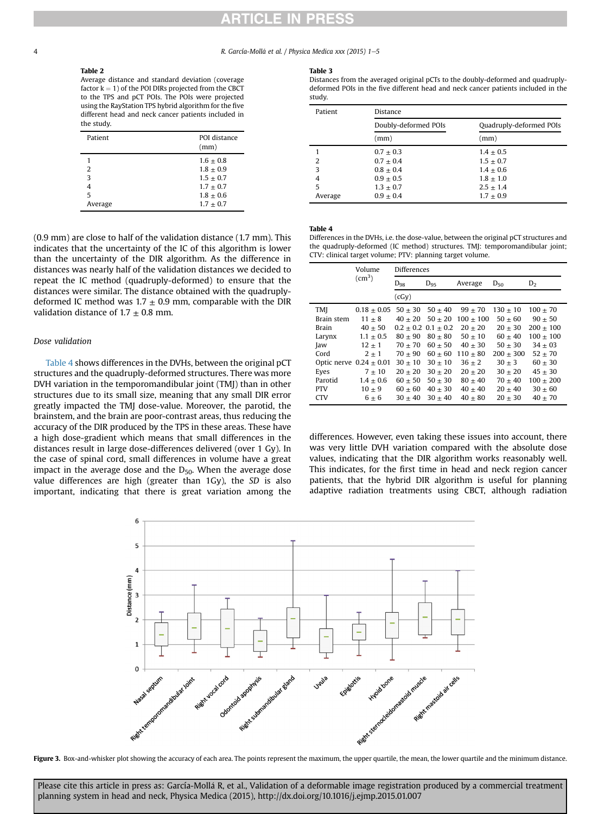<span id="page-3-0"></span>4 R. García-Mollá et al. / Physica Medica xxx (2015) 1–5

#### Table 2

Average distance and standard deviation (coverage factor  $k = 1$ ) of the POI DIRs projected from the CBCT to the TPS and pCT POIs. The POIs were projected using the RayStation TPS hybrid algorithm for the five different head and neck cancer patients included in the study.

| Patient | POI distance<br>(mm) |
|---------|----------------------|
|         | $1.6 \pm 0.8$        |
| 2       | $1.8 + 0.9$          |
| 3       | $1.5 + 0.7$          |
| 4       | $1.7 + 0.7$          |
| 5       | $1.8 \pm 0.6$        |
| Average | $1.7 + 0.7$          |

(0.9 mm) are close to half of the validation distance (1.7 mm). This indicates that the uncertainty of the IC of this algorithm is lower than the uncertainty of the DIR algorithm. As the difference in distances was nearly half of the validation distances we decided to repeat the IC method (quadruply-deformed) to ensure that the distances were similar. The distance obtained with the quadruplydeformed IC method was  $1.7 \pm 0.9$  mm, comparable with the DIR validation distance of 1.7  $\pm$  0.8 mm.

#### Dose validation

Table 4 shows differences in the DVHs, between the original pCT structures and the quadruply-deformed structures. There was more DVH variation in the temporomandibular joint (TMJ) than in other structures due to its small size, meaning that any small DIR error greatly impacted the TMJ dose-value. Moreover, the parotid, the brainstem, and the brain are poor-contrast areas, thus reducing the accuracy of the DIR produced by the TPS in these areas. These have a high dose-gradient which means that small differences in the distances result in large dose-differences delivered (over 1 Gy). In the case of spinal cord, small differences in volume have a great impact in the average dose and the  $D_{50}$ . When the average dose value differences are high (greater than 1Gy), the SD is also important, indicating that there is great variation among the

|--|

Distances from the averaged original pCTs to the doubly-deformed and quadruplydeformed POIs in the five different head and neck cancer patients included in the study.

| Patient | <b>Distance</b>      |                         |  |  |  |
|---------|----------------------|-------------------------|--|--|--|
|         | Doubly-deformed POIs | Quadruply-deformed POIs |  |  |  |
|         | (mm)                 | (mm)                    |  |  |  |
|         | $0.7 + 0.3$          | $1.4 + 0.5$             |  |  |  |
| 2       | $0.7 + 0.4$          | $1.5 \pm 0.7$           |  |  |  |
| 3       | $0.8 \pm 0.4$        | $1.4 + 0.6$             |  |  |  |
| 4       | $0.9 \pm 0.5$        | $1.8 + 1.0$             |  |  |  |
| 5       | $1.3 + 0.7$          | $2.5 + 1.4$             |  |  |  |
| Average | $0.9 \pm 0.4$        | $1.7 + 0.9$             |  |  |  |

#### Table 4

| Differences in the DVHs, i.e. the dose-value, between the original pCT structures and |
|---------------------------------------------------------------------------------------|
| the quadruply-deformed (IC method) structures. TMJ: temporomandibular joint;          |
| CTV: clinical target volume; PTV: planning target volume.                             |

|              | Volume                      | <b>Differences</b> |                         |               |                |               |
|--------------|-----------------------------|--------------------|-------------------------|---------------|----------------|---------------|
| $\rm (cm^3)$ | $D_{98}$                    | $D_{95}$           | Average                 | $D_{50}$      | D <sub>2</sub> |               |
|              |                             | (cGy)              |                         |               |                |               |
| TMI          | $0.18 \pm 0.05$             | $50 + 30$          | $50 \pm 40$             | $99 \pm 70$   | $130 \pm 10$   | $100 + 70$    |
| Brain stem   | $11 + 8$                    | $40 + 20$          | $50 \pm 20$             | $100 \pm 100$ | $50 \pm 60$    | $90 \pm 50$   |
| Brain        | $40 \pm 50$                 |                    | $0.2 + 0.2$ $0.1 + 0.2$ | $20 \pm 20$   | $20 \pm 30$    | $200 \pm 100$ |
| Larynx       | $1.1 \pm 0.5$               | $80 + 90$          | $80 + 80$               | $50 \pm 10$   | $60 + 40$      | $100 + 100$   |
| Jaw          | $12 \pm 1$                  | $70 \pm 70$        | $60 + 50$               | $40 \pm 30$   | $50 \pm 30$    | $34 \pm 03$   |
| Cord         | $2 \pm 1$                   | $70 + 90$          | $60 + 60$               | $110 + 80$    | $200 + 300$    | $52 \pm 70$   |
|              | Optic nerve $0.24 \pm 0.01$ | $30 \pm 10$        | $30 \pm 10$             | $36 \pm 2$    | $30 + 3$       | $60 \pm 30$   |
| Eyes         | $7 \pm 10$                  | $20 \pm 20$        | $30 + 20$               | $20 \pm 20$   | $30 + 20$      | $45 + 30$     |
| Parotid      | $1.4 + 0.6$                 | $60 + 50$          | $50 + 30$               | $80 + 40$     | $70 + 40$      | $100 + 200$   |
| <b>PTV</b>   | $10 + 9$                    | $60 \pm 60$        | $40 \pm 30$             | $40 \pm 40$   | $20 \pm 40$    | $30 + 60$     |
| <b>CTV</b>   | $6 \pm 6$                   | $30 + 40$          | $30 \pm 40$             | $40 + 80$     | $20 \pm 30$    | $40 \pm 70$   |

differences. However, even taking these issues into account, there was very little DVH variation compared with the absolute dose values, indicating that the DIR algorithm works reasonably well. This indicates, for the first time in head and neck region cancer patients, that the hybrid DIR algorithm is useful for planning adaptive radiation treatments using CBCT, although radiation



Figure 3. Box-and-whisker plot showing the accuracy of each area. The points represent the maximum, the upper quartile, the mean, the lower quartile and the minimum distance.